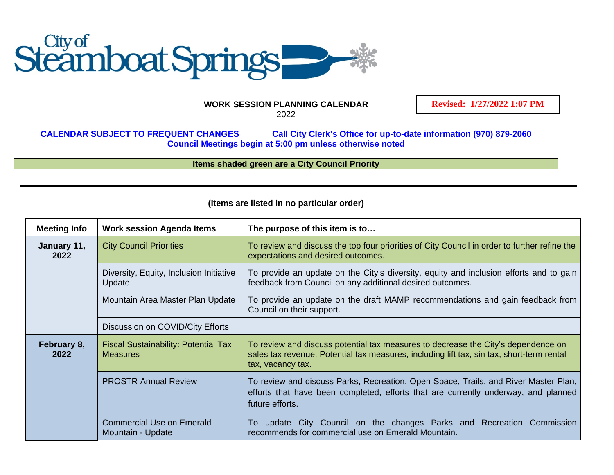

## **WORK SESSION PLANNING CALENDAR** 2022

**Revised: 1/27/2022 1:07 PM**

**CALENDAR SUBJECT TO FREQUENT CHANGES Call City Clerk's Office for up-to-date information (970) 879-2060 Council Meetings begin at 5:00 pm unless otherwise noted**

**Items shaded green are a City Council Priority**

| <b>Meeting Info</b> | <b>Work session Agenda Items</b>                               | The purpose of this item is to                                                                                                                                                                      |
|---------------------|----------------------------------------------------------------|-----------------------------------------------------------------------------------------------------------------------------------------------------------------------------------------------------|
| January 11,<br>2022 | <b>City Council Priorities</b>                                 | To review and discuss the top four priorities of City Council in order to further refine the<br>expectations and desired outcomes.                                                                  |
|                     | Diversity, Equity, Inclusion Initiative<br>Update              | To provide an update on the City's diversity, equity and inclusion efforts and to gain<br>feedback from Council on any additional desired outcomes.                                                 |
|                     | Mountain Area Master Plan Update                               | To provide an update on the draft MAMP recommendations and gain feedback from<br>Council on their support.                                                                                          |
|                     | Discussion on COVID/City Efforts                               |                                                                                                                                                                                                     |
| February 8,<br>2022 | <b>Fiscal Sustainability: Potential Tax</b><br><b>Measures</b> | To review and discuss potential tax measures to decrease the City's dependence on<br>sales tax revenue. Potential tax measures, including lift tax, sin tax, short-term rental<br>tax, vacancy tax. |
|                     | <b>PROSTR Annual Review</b>                                    | To review and discuss Parks, Recreation, Open Space, Trails, and River Master Plan,<br>efforts that have been completed, efforts that are currently underway, and planned<br>future efforts.        |
|                     | <b>Commercial Use on Emerald</b><br>Mountain - Update          | To update City Council on the changes Parks and Recreation<br>Commission<br>recommends for commercial use on Emerald Mountain.                                                                      |

## **(Items are listed in no particular order)**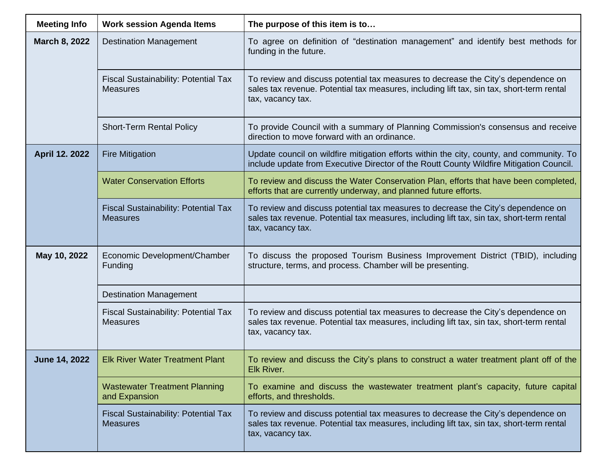| <b>Meeting Info</b>  | <b>Work session Agenda Items</b>                               | The purpose of this item is to                                                                                                                                                                      |
|----------------------|----------------------------------------------------------------|-----------------------------------------------------------------------------------------------------------------------------------------------------------------------------------------------------|
| March 8, 2022        | <b>Destination Management</b>                                  | To agree on definition of "destination management" and identify best methods for<br>funding in the future.                                                                                          |
|                      | <b>Fiscal Sustainability: Potential Tax</b><br><b>Measures</b> | To review and discuss potential tax measures to decrease the City's dependence on<br>sales tax revenue. Potential tax measures, including lift tax, sin tax, short-term rental<br>tax, vacancy tax. |
|                      | <b>Short-Term Rental Policy</b>                                | To provide Council with a summary of Planning Commission's consensus and receive<br>direction to move forward with an ordinance.                                                                    |
| April 12. 2022       | <b>Fire Mitigation</b>                                         | Update council on wildfire mitigation efforts within the city, county, and community. To<br>include update from Executive Director of the Routt County Wildfire Mitigation Council.                 |
|                      | <b>Water Conservation Efforts</b>                              | To review and discuss the Water Conservation Plan, efforts that have been completed,<br>efforts that are currently underway, and planned future efforts.                                            |
|                      | <b>Fiscal Sustainability: Potential Tax</b><br><b>Measures</b> | To review and discuss potential tax measures to decrease the City's dependence on<br>sales tax revenue. Potential tax measures, including lift tax, sin tax, short-term rental<br>tax, vacancy tax. |
| May 10, 2022         | Economic Development/Chamber<br>Funding                        | To discuss the proposed Tourism Business Improvement District (TBID), including<br>structure, terms, and process. Chamber will be presenting.                                                       |
|                      | <b>Destination Management</b>                                  |                                                                                                                                                                                                     |
|                      | <b>Fiscal Sustainability: Potential Tax</b><br><b>Measures</b> | To review and discuss potential tax measures to decrease the City's dependence on<br>sales tax revenue. Potential tax measures, including lift tax, sin tax, short-term rental<br>tax, vacancy tax. |
| <b>June 14, 2022</b> | <b>Elk River Water Treatment Plant</b>                         | To review and discuss the City's plans to construct a water treatment plant off of the<br>Elk River.                                                                                                |
|                      | <b>Wastewater Treatment Planning</b><br>and Expansion          | To examine and discuss the wastewater treatment plant's capacity, future capital<br>efforts, and thresholds.                                                                                        |
|                      | Fiscal Sustainability: Potential Tax<br><b>Measures</b>        | To review and discuss potential tax measures to decrease the City's dependence on<br>sales tax revenue. Potential tax measures, including lift tax, sin tax, short-term rental<br>tax, vacancy tax. |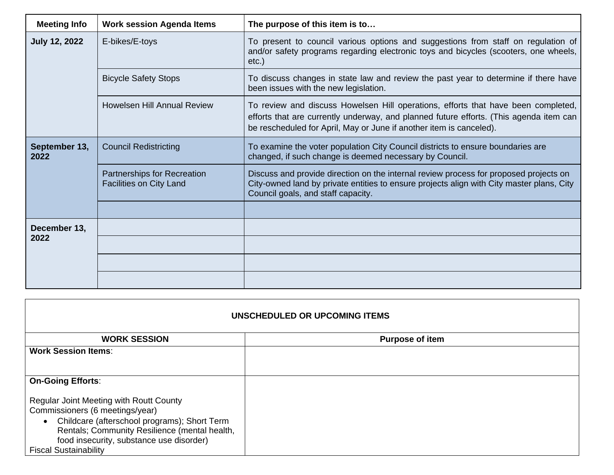| <b>Meeting Info</b>   | <b>Work session Agenda Items</b>                              | The purpose of this item is to                                                                                                                                                                                                                     |
|-----------------------|---------------------------------------------------------------|----------------------------------------------------------------------------------------------------------------------------------------------------------------------------------------------------------------------------------------------------|
| <b>July 12, 2022</b>  | E-bikes/E-toys                                                | To present to council various options and suggestions from staff on regulation of<br>and/or safety programs regarding electronic toys and bicycles (scooters, one wheels,<br>$etc.$ )                                                              |
|                       | <b>Bicycle Safety Stops</b>                                   | To discuss changes in state law and review the past year to determine if there have<br>been issues with the new legislation.                                                                                                                       |
|                       | <b>Howelsen Hill Annual Review</b>                            | To review and discuss Howelsen Hill operations, efforts that have been completed,<br>efforts that are currently underway, and planned future efforts. (This agenda item can<br>be rescheduled for April, May or June if another item is canceled). |
| September 13,<br>2022 | <b>Council Redistricting</b>                                  | To examine the voter population City Council districts to ensure boundaries are<br>changed, if such change is deemed necessary by Council.                                                                                                         |
|                       | Partnerships for Recreation<br><b>Facilities on City Land</b> | Discuss and provide direction on the internal review process for proposed projects on<br>City-owned land by private entities to ensure projects align with City master plans, City<br>Council goals, and staff capacity.                           |
|                       |                                                               |                                                                                                                                                                                                                                                    |
| December 13,<br>2022  |                                                               |                                                                                                                                                                                                                                                    |
|                       |                                                               |                                                                                                                                                                                                                                                    |
|                       |                                                               |                                                                                                                                                                                                                                                    |
|                       |                                                               |                                                                                                                                                                                                                                                    |

| UNSCHEDULED OR UPCOMING ITEMS |  |  |  |  |
|-------------------------------|--|--|--|--|
| <b>Purpose of item</b>        |  |  |  |  |
|                               |  |  |  |  |
|                               |  |  |  |  |
|                               |  |  |  |  |
|                               |  |  |  |  |
|                               |  |  |  |  |